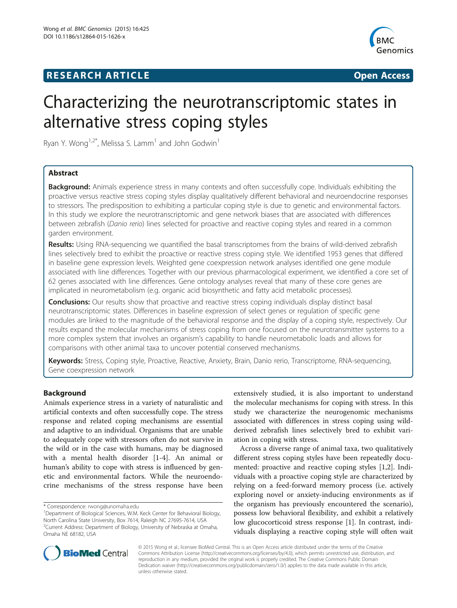# **RESEARCH ARTICLE Example 2018 12:00 Department of the CONNECTION CONNECTION CONNECTION CONNECTION**



# Characterizing the neurotranscriptomic states in alternative stress coping styles

Ryan Y. Wong<sup>1,2\*</sup>, Melissa S. Lamm<sup>1</sup> and John Godwin<sup>1</sup>

# Abstract

Background: Animals experience stress in many contexts and often successfully cope. Individuals exhibiting the proactive versus reactive stress coping styles display qualitatively different behavioral and neuroendocrine responses to stressors. The predisposition to exhibiting a particular coping style is due to genetic and environmental factors. In this study we explore the neurotranscriptomic and gene network biases that are associated with differences between zebrafish (Danio rerio) lines selected for proactive and reactive coping styles and reared in a common garden environment.

Results: Using RNA-sequencing we quantified the basal transcriptomes from the brains of wild-derived zebrafish lines selectively bred to exhibit the proactive or reactive stress coping style. We identified 1953 genes that differed in baseline gene expression levels. Weighted gene coexpression network analyses identified one gene module associated with line differences. Together with our previous pharmacological experiment, we identified a core set of 62 genes associated with line differences. Gene ontology analyses reveal that many of these core genes are implicated in neurometabolism (e.g. organic acid biosynthetic and fatty acid metabolic processes).

**Conclusions:** Our results show that proactive and reactive stress coping individuals display distinct basal neurotranscriptomic states. Differences in baseline expression of select genes or regulation of specific gene modules are linked to the magnitude of the behavioral response and the display of a coping style, respectively. Our results expand the molecular mechanisms of stress coping from one focused on the neurotransmitter systems to a more complex system that involves an organism's capability to handle neurometabolic loads and allows for comparisons with other animal taxa to uncover potential conserved mechanisms.

Keywords: Stress, Coping style, Proactive, Reactive, Anxiety, Brain, Danio rerio, Transcriptome, RNA-sequencing, Gene coexpression network

# Background

Animals experience stress in a variety of naturalistic and artificial contexts and often successfully cope. The stress response and related coping mechanisms are essential and adaptive to an individual. Organisms that are unable to adequately cope with stressors often do not survive in the wild or in the case with humans, may be diagnosed with a mental health disorder [[1-4](#page-9-0)]. An animal or human's ability to cope with stress is influenced by genetic and environmental factors. While the neuroendocrine mechanisms of the stress response have been

\* Correspondence: [rwong@unomaha.edu](mailto:rwong@unomaha.edu) <sup>1</sup>

extensively studied, it is also important to understand the molecular mechanisms for coping with stress. In this study we characterize the neurogenomic mechanisms associated with differences in stress coping using wildderived zebrafish lines selectively bred to exhibit variation in coping with stress.

Across a diverse range of animal taxa, two qualitatively different stress coping styles have been repeatedly documented: proactive and reactive coping styles [\[1,2](#page-9-0)]. Individuals with a proactive coping style are characterized by relying on a feed-forward memory process (i.e. actively exploring novel or anxiety-inducing environments as if the organism has previously encountered the scenario), possess low behavioral flexibility, and exhibit a relatively low glucocorticoid stress response [[1\]](#page-9-0). In contrast, individuals displaying a reactive coping style will often wait



© 2015 Wong et al.; licensee BioMed Central. This is an Open Access article distributed under the terms of the Creative Commons Attribution License [\(http://creativecommons.org/licenses/by/4.0\)](http://creativecommons.org/licenses/by/4.0), which permits unrestricted use, distribution, and reproduction in any medium, provided the original work is properly credited. The Creative Commons Public Domain Dedication waiver [\(http://creativecommons.org/publicdomain/zero/1.0/](http://creativecommons.org/publicdomain/zero/1.0/)) applies to the data made available in this article, unless otherwise stated.

Department of Biological Sciences, W.M. Keck Center for Behavioral Biology, North Carolina State University, Box 7614, Raleigh NC 27695-7614, USA 2 Current Address: Department of Biology, University of Nebraska at Omaha, Omaha NE 68182, USA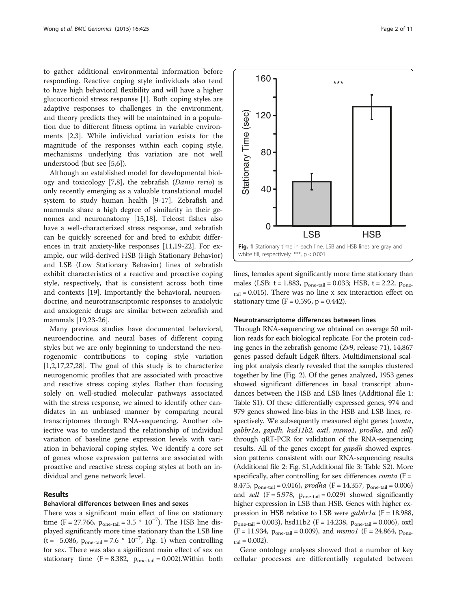<span id="page-1-0"></span>to gather additional environmental information before responding. Reactive coping style individuals also tend to have high behavioral flexibility and will have a higher glucocorticoid stress response [\[1](#page-9-0)]. Both coping styles are adaptive responses to challenges in the environment, and theory predicts they will be maintained in a population due to different fitness optima in variable environments [[2,3\]](#page-9-0). While individual variation exists for the magnitude of the responses within each coping style, mechanisms underlying this variation are not well understood (but see [[5,6\]](#page-9-0)).

Although an established model for developmental biology and toxicology [[7,8\]](#page-9-0), the zebrafish (Danio rerio) is only recently emerging as a valuable translational model system to study human health [[9-17\]](#page-9-0). Zebrafish and mammals share a high degree of similarity in their genomes and neuroanatomy [[15,18\]](#page-9-0). Teleost fishes also have a well-characterized stress response, and zebrafish can be quickly screened for and bred to exhibit differences in trait anxiety-like responses [[11,19-22](#page-9-0)]. For example, our wild-derived HSB (High Stationary Behavior) and LSB (Low Stationary Behavior) lines of zebrafish exhibit characteristics of a reactive and proactive coping style, respectively, that is consistent across both time and contexts [[19\]](#page-9-0). Importantly the behavioral, neuroendocrine, and neurotranscriptomic responses to anxiolytic and anxiogenic drugs are similar between zebrafish and mammals [[19,23](#page-9-0)-[26\]](#page-9-0).

Many previous studies have documented behavioral, neuroendocrine, and neural bases of different coping styles but we are only beginning to understand the neurogenomic contributions to coping style variation  $[1,2,17,27,28]$  $[1,2,17,27,28]$ . The goal of this study is to characterize neurogenomic profiles that are associated with proactive and reactive stress coping styles. Rather than focusing solely on well-studied molecular pathways associated with the stress response, we aimed to identify other candidates in an unbiased manner by comparing neural transcriptomes through RNA-sequencing. Another objective was to understand the relationship of individual variation of baseline gene expression levels with variation in behavioral coping styles. We identify a core set of genes whose expression patterns are associated with proactive and reactive stress coping styles at both an individual and gene network level.

### Results

#### Behavioral differences between lines and sexes

There was a significant main effect of line on stationary time (F = 27.766,  $p_{one-tail} = 3.5 * 10^{-7}$ ). The HSB line displayed significantly more time stationary than the LSB line  $(t = -5.086, p_{one-tail} = 7.6 * 10^{-7}, Fig. 1)$  when controlling for sex. There was also a significant main effect of sex on stationary time  $(F = 8.382, p_{one-tail} = 0.002)$ . Within both

lines, females spent significantly more time stationary than males (LSB:  $t = 1.883$ ,  $p_{one-tail} = 0.033$ ; HSB,  $t = 2.22$ ,  $p_{one-tail}$  $_{tail}$  = 0.015). There was no line x sex interaction effect on stationary time ( $F = 0.595$ ,  $p = 0.442$ ).

#### Neurotranscriptome differences between lines

Through RNA-sequencing we obtained on average 50 million reads for each biological replicate. For the protein coding genes in the zebrafish genome (Zv9, release 71), 14,867 genes passed default EdgeR filters. Multidimensional scaling plot analysis clearly revealed that the samples clustered together by line (Fig. [2](#page-2-0)). Of the genes analyzed, 1953 genes showed significant differences in basal transcript abundances between the HSB and LSB lines (Additional file [1](#page-8-0): Table S1). Of these differentially expressed genes, 974 and 979 genes showed line-bias in the HSB and LSB lines, respectively. We subsequently measured eight genes (comta, gabbr1a, gapdh, hsd11b2, oxtl, msmo1, prodha, and sell) through qRT-PCR for validation of the RNA-sequencing results. All of the genes except for *gapdh* showed expression patterns consistent with our RNA-sequencing results (Additional file [2:](#page-8-0) Fig. S1,Additional file [3:](#page-8-0) Table S2). More specifically, after controlling for sex differences *comta*  $(F =$ 8.475,  $p_{one-tail} = 0.016$ , prodha (F = 14.357,  $p_{one-tail} = 0.006$ ) and *sell* (F = 5.978,  $p_{one-tail} = 0.029$ ) showed significantly higher expression in LSB than HSB. Genes with higher expression in HSB relative to LSB were *gabbr1a* (F = 18.988,  $p_{one-tail} = 0.003$ , hsd11b2 (F = 14.238,  $p_{one-tail} = 0.006$ ), oxtl  $(F = 11.934, p_{one-tail} = 0.009)$ , and *msmol*  $(F = 24.864, p_{one-tail} = 0.009)$  $_{\text{tail}} = 0.002$ ).

Gene ontology analyses showed that a number of key cellular processes are differentially regulated between

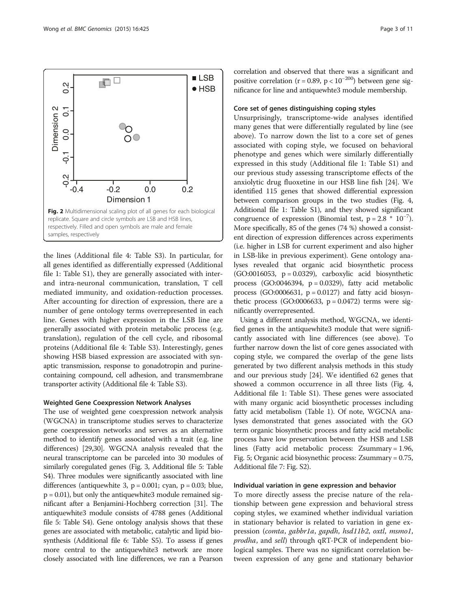<span id="page-2-0"></span>

the lines (Additional file [4:](#page-8-0) Table S3). In particular, for all genes identified as differentially expressed (Additional file [1](#page-8-0): Table S1), they are generally associated with interand intra-neuronal communication, translation, T cell mediated immunity, and oxidation-reduction processes. After accounting for direction of expression, there are a number of gene ontology terms overrepresented in each line. Genes with higher expression in the LSB line are generally associated with protein metabolic process (e.g. translation), regulation of the cell cycle, and ribosomal proteins (Additional file [4:](#page-8-0) Table S3). Interestingly, genes showing HSB biased expression are associated with synaptic transmission, response to gonadotropin and purinecontaining compound, cell adhesion, and transmembrane transporter activity (Additional file [4](#page-8-0): Table S3).

#### Weighted Gene Coexpression Network Analyses

The use of weighted gene coexpression network analysis (WGCNA) in transcriptome studies serves to characterize gene coexpression networks and serves as an alternative method to identify genes associated with a trait (e.g. line differences) [\[29,30](#page-9-0)]. WGCNA analysis revealed that the neural transcriptome can be parceled into 30 modules of similarly coregulated genes (Fig. [3](#page-3-0), Additional file [5:](#page-8-0) Table S4). Three modules were significantly associated with line differences (antiquewhite 3,  $p = 0.001$ ; cyan,  $p = 0.03$ ; blue, p = 0.01), but only the antiquewhite3 module remained significant after a Benjamini-Hochberg correction [[31](#page-9-0)]. The antiquewhite3 module consists of 4788 genes (Additional file [5:](#page-8-0) Table S4). Gene ontology analysis shows that these genes are associated with metabolic, catalytic and lipid biosynthesis (Additional file [6:](#page-8-0) Table S5). To assess if genes more central to the antiquewhite3 network are more closely associated with line differences, we ran a Pearson

correlation and observed that there was a significant and positive correlation (r = 0.89, p <  $10^{-200}$ ) between gene significance for line and antiquewhte3 module membership.

#### Core set of genes distinguishing coping styles

Unsurprisingly, transcriptome-wide analyses identified many genes that were differentially regulated by line (see above). To narrow down the list to a core set of genes associated with coping style, we focused on behavioral phenotype and genes which were similarly differentially expressed in this study (Additional file [1](#page-8-0): Table S1) and our previous study assessing transcriptome effects of the anxiolytic drug fluoxetine in our HSB line fish [[24](#page-9-0)]. We identified 115 genes that showed differential expression between comparison groups in the two studies (Fig. [4](#page-3-0), Additional file [1](#page-8-0): Table S1), and they showed significant congruence of expression (Binomial test,  $p = 2.8 * 10^{-7}$ ). More specifically, 85 of the genes (74 %) showed a consistent direction of expression differences across experiments (i.e. higher in LSB for current experiment and also higher in LSB-like in previous experiment). Gene ontology analyses revealed that organic acid biosynthetic process  $(GO:0016053, p = 0.0329)$ , carboxylic acid biosynthetic process (GO:0046394,  $p = 0.0329$ ), fatty acid metabolic process (GO:0006631,  $p = 0.0127$ ) and fatty acid biosynthetic process (GO:0006633,  $p = 0.0472$ ) terms were significantly overrepresented.

Using a different analysis method, WGCNA, we identified genes in the antiquewhite3 module that were significantly associated with line differences (see above). To further narrow down the list of core genes associated with coping style, we compared the overlap of the gene lists generated by two different analysis methods in this study and our previous study [\[24](#page-9-0)]. We identified 62 genes that showed a common occurrence in all three lists (Fig. [4](#page-3-0), Additional file [1](#page-8-0): Table S1). These genes were associated with many organic acid biosynthetic processes including fatty acid metabolism (Table [1](#page-3-0)). Of note, WGCNA analyses demonstrated that genes associated with the GO term organic biosynthetic process and fatty acid metabolic process have low preservation between the HSB and LSB lines (Fatty acid metabolic process: Zsummary = 1.96, Fig. [5](#page-4-0); Organic acid biosynethic process: Zsummary = 0.75, Additional file [7](#page-9-0): Fig. S2).

#### Individual variation in gene expression and behavior

To more directly assess the precise nature of the relationship between gene expression and behavioral stress coping styles, we examined whether individual variation in stationary behavior is related to variation in gene expression (comta, gabbr1a, gapdh, hsd11b2, oxtl, msmo1, prodha, and sell) through qRT-PCR of independent biological samples. There was no significant correlation between expression of any gene and stationary behavior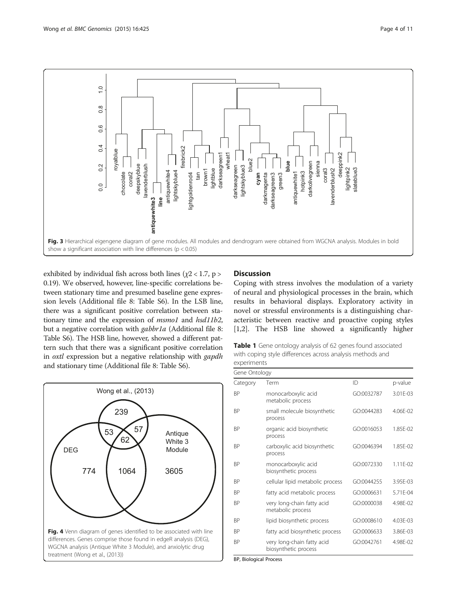<span id="page-3-0"></span>

exhibited by individual fish across both lines ( $\chi$ 2 < 1.7, p > 0.19). We observed, however, line-specific correlations between stationary time and presumed baseline gene expression levels (Additional file [8](#page-9-0): Table S6). In the LSB line, there was a significant positive correlation between stationary time and the expression of msmo1 and hsd11b2, but a negative correlation with *gabbr1a* (Additional file [8](#page-9-0): Table S6). The HSB line, however, showed a different pattern such that there was a significant positive correlation in oxtl expression but a negative relationship with gapdh and stationary time (Additional file [8:](#page-9-0) Table S6).



## **Discussion**

Coping with stress involves the modulation of a variety of neural and physiological processes in the brain, which results in behavioral displays. Exploratory activity in novel or stressful environments is a distinguishing characteristic between reactive and proactive coping styles [[1,2\]](#page-9-0). The HSB line showed a significantly higher

| Table 1 Gene ontology analysis of 62 genes found associated |
|-------------------------------------------------------------|
| with coping style differences across analysis methods and   |
| experiments                                                 |

| Gene Ontology |                                                    |            |              |  |
|---------------|----------------------------------------------------|------------|--------------|--|
| Category      | Term                                               | ID         | p-value      |  |
| <b>BP</b>     | monocarboxylic acid<br>metabolic process           | GO:0032787 | $3.01F - 03$ |  |
| <b>BP</b>     | small molecule biosynthetic<br>process             | GO:0044283 | 406F-02      |  |
| <b>BP</b>     | organic acid biosynthetic<br>process               | GO:0016053 | 1.85F-02     |  |
| <b>BP</b>     | carboxylic acid biosynthetic<br>process            | GO:0046394 | 1.85F-02     |  |
| <b>BP</b>     | monocarboxylic acid<br>biosynthetic process        | GO:0072330 | $1.11F - 02$ |  |
| <b>BP</b>     | cellular lipid metabolic process                   | GO:0044255 | 3.95F-03     |  |
| <b>BP</b>     | fatty acid metabolic process                       | GO:0006631 | $5.71F - 04$ |  |
| <b>BP</b>     | very long-chain fatty acid<br>metabolic process    | GO:0000038 | 4.98F-02     |  |
| <b>BP</b>     | lipid biosynthetic process                         | GO:0008610 | $4.03F - 03$ |  |
| <b>BP</b>     | fatty acid biosynthetic process                    | GO:0006633 | 3.86F-03     |  |
| <b>BP</b>     | very long-chain fatty acid<br>biosynthetic process | GO:0042761 | 4.98F-02     |  |

BP, Biological Process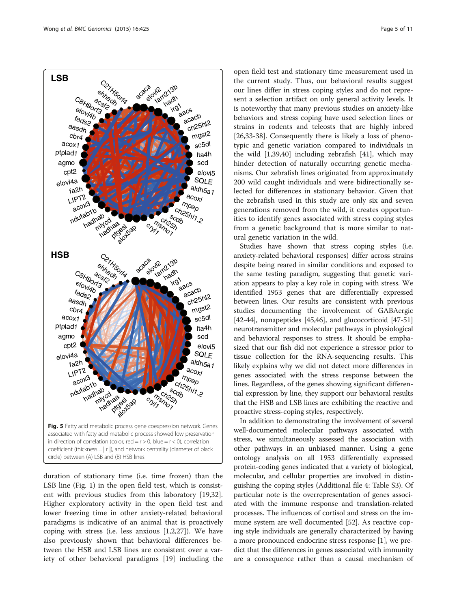duration of stationary time (i.e. time frozen) than the LSB line (Fig. [1](#page-1-0)) in the open field test, which is consistent with previous studies from this laboratory [\[19,32](#page-9-0)]. Higher exploratory activity in the open field test and lower freezing time in other anxiety-related behavioral paradigms is indicative of an animal that is proactively coping with stress (i.e. less anxious  $[1,2,27]$  $[1,2,27]$ ). We have also previously shown that behavioral differences between the HSB and LSB lines are consistent over a variety of other behavioral paradigms [[19](#page-9-0)] including the

open field test and stationary time measurement used in the current study. Thus, our behavioral results suggest our lines differ in stress coping styles and do not represent a selection artifact on only general activity levels. It is noteworthy that many previous studies on anxiety-like behaviors and stress coping have used selection lines or strains in rodents and teleosts that are highly inbred [[26,33-38\]](#page-9-0). Consequently there is likely a loss of phenotypic and genetic variation compared to individuals in the wild [[1,39,](#page-9-0)[40\]](#page-10-0) including zebrafish [\[41](#page-10-0)], which may hinder detection of naturally occurring genetic mechanisms. Our zebrafish lines originated from approximately 200 wild caught individuals and were bidirectionally selected for differences in stationary behavior. Given that the zebrafish used in this study are only six and seven generations removed from the wild, it creates opportunities to identify genes associated with stress coping styles from a genetic background that is more similar to natural genetic variation in the wild.

Studies have shown that stress coping styles (i.e. anxiety-related behavioral responses) differ across strains despite being reared in similar conditions and exposed to the same testing paradigm, suggesting that genetic variation appears to play a key role in coping with stress. We identified 1953 genes that are differentially expressed between lines. Our results are consistent with previous studies documenting the involvement of GABAergic [[42](#page-10-0)-[44\]](#page-10-0), nonapeptides [[45,46](#page-10-0)], and glucocorticoid [[47](#page-10-0)-[51](#page-10-0)] neurotransmitter and molecular pathways in physiological and behavioral responses to stress. It should be emphasized that our fish did not experience a stressor prior to tissue collection for the RNA-sequencing results. This likely explains why we did not detect more differences in genes associated with the stress response between the lines. Regardless, of the genes showing significant differential expression by line, they support our behavioral results that the HSB and LSB lines are exhibiting the reactive and proactive stress-coping styles, respectively.

In addition to demonstrating the involvement of several well-documented molecular pathways associated with stress, we simultaneously assessed the association with other pathways in an unbiased manner. Using a gene ontology analysis on all 1953 differentially expressed protein-coding genes indicated that a variety of biological, molecular, and cellular properties are involved in distinguishing the coping styles (Additional file [4](#page-8-0): Table S3). Of particular note is the overrepresentation of genes associated with the immune response and translation-related processes. The influences of cortisol and stress on the immune system are well documented [[52](#page-10-0)]. As reactive coping style individuals are generally characterized by having a more pronounced endocrine stress response [\[1](#page-9-0)], we predict that the differences in genes associated with immunity are a consequence rather than a causal mechanism of

<span id="page-4-0"></span>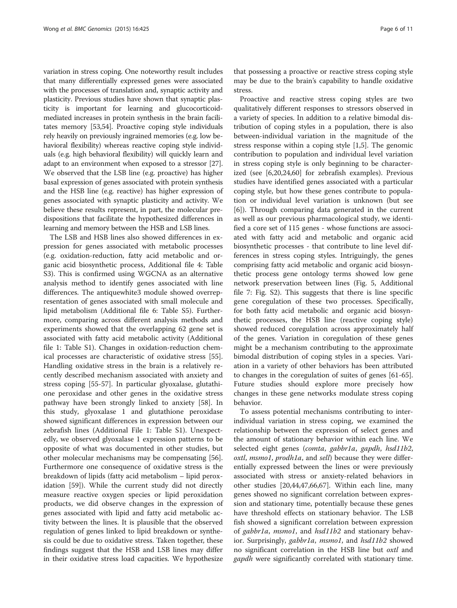variation in stress coping. One noteworthy result includes that many differentially expressed genes were associated with the processes of translation and, synaptic activity and plasticity. Previous studies have shown that synaptic plasticity is important for learning and glucocorticoidmediated increases in protein synthesis in the brain facilitates memory [[53](#page-10-0),[54](#page-10-0)]. Proactive coping style individuals rely heavily on previously ingrained memories (e.g. low behavioral flexibility) whereas reactive coping style individuals (e.g. high behavioral flexibility) will quickly learn and adapt to an environment when exposed to a stressor [[27](#page-9-0)]. We observed that the LSB line (e.g. proactive) has higher basal expression of genes associated with protein synthesis and the HSB line (e.g. reactive) has higher expression of genes associated with synaptic plasticity and activity. We believe these results represent, in part, the molecular predispositions that facilitate the hypothesized differences in learning and memory between the HSB and LSB lines.

The LSB and HSB lines also showed differences in expression for genes associated with metabolic processes (e.g. oxidation-reduction, fatty acid metabolic and organic acid biosynthetic process, Additional file [4](#page-8-0): Table S3). This is confirmed using WGCNA as an alternative analysis method to identify genes associated with line differences. The antiquewhite3 module showed overrepresentation of genes associated with small molecule and lipid metabolism (Additional file [6:](#page-8-0) Table S5). Furthermore, comparing across different analysis methods and experiments showed that the overlapping 62 gene set is associated with fatty acid metabolic activity (Additional file [1:](#page-8-0) Table S1). Changes in oxidation-reduction chemical processes are characteristic of oxidative stress [\[55](#page-10-0)]. Handling oxidative stress in the brain is a relatively recently described mechanism associated with anxiety and stress coping [[55](#page-10-0)-[57\]](#page-10-0). In particular glyoxalase, glutathione peroxidase and other genes in the oxidative stress pathway have been strongly linked to anxiety [[58\]](#page-10-0). In this study, glyoxalase 1 and glutathione peroxidase showed significant differences in expression between our zebrafish lines (Additional File [1](#page-8-0): Table S1). Unexpectedly, we observed glyoxalase 1 expression patterns to be opposite of what was documented in other studies, but other molecular mechanisms may be compensating [\[56](#page-10-0)]. Furthermore one consequence of oxidative stress is the breakdown of lipids (fatty acid metabolism – lipid peroxidation [[59\]](#page-10-0)). While the current study did not directly measure reactive oxygen species or lipid peroxidation products, we did observe changes in the expression of genes associated with lipid and fatty acid metabolic activity between the lines. It is plausible that the observed regulation of genes linked to lipid breakdown or synthesis could be due to oxidative stress. Taken together, these findings suggest that the HSB and LSB lines may differ in their oxidative stress load capacities. We hypothesize

that possessing a proactive or reactive stress coping style may be due to the brain's capability to handle oxidative stress.

Proactive and reactive stress coping styles are two qualitatively different responses to stressors observed in a variety of species. In addition to a relative bimodal distribution of coping styles in a population, there is also between-individual variation in the magnitude of the stress response within a coping style [\[1,5](#page-9-0)]. The genomic contribution to population and individual level variation in stress coping style is only beginning to be characterized (see [[6,20](#page-9-0),[24](#page-9-0),[60](#page-10-0)] for zebrafish examples). Previous studies have identified genes associated with a particular coping style, but how these genes contribute to population or individual level variation is unknown (but see [[6\]](#page-9-0)). Through comparing data generated in the current as well as our previous pharmacological study, we identified a core set of 115 genes - whose functions are associated with fatty acid and metabolic and organic acid biosynthetic processes - that contribute to line level differences in stress coping styles. Intriguingly, the genes comprising fatty acid metabolic and organic acid biosynthetic process gene ontology terms showed low gene network preservation between lines (Fig. [5](#page-4-0), Additional file [7](#page-9-0): Fig. S2). This suggests that there is line specific gene coregulation of these two processes. Specifically, for both fatty acid metabolic and organic acid biosynthetic processes, the HSB line (reactive coping style) showed reduced coregulation across approximately half of the genes. Variation in coregulation of these genes might be a mechanism contributing to the approximate bimodal distribution of coping styles in a species. Variation in a variety of other behaviors has been attributed to changes in the coregulation of suites of genes [\[61-65](#page-10-0)]. Future studies should explore more precisely how changes in these gene networks modulate stress coping behavior.

To assess potential mechanisms contributing to interindividual variation in stress coping, we examined the relationship between the expression of select genes and the amount of stationary behavior within each line. We selected eight genes (comta, gabbr1a, gapdh, hsd11b2, oxtl, msmo1, prodh1a, and sell) because they were differentially expressed between the lines or were previously associated with stress or anxiety-related behaviors in other studies [\[20,](#page-9-0)[44,47,66,67\]](#page-10-0). Within each line, many genes showed no significant correlation between expression and stationary time, potentially because these genes have threshold effects on stationary behavior. The LSB fish showed a significant correlation between expression of gabbr1a, msmo1, and hsd11b2 and stationary behavior. Surprisingly, gabbr1a, msmo1, and hsd11b2 showed no significant correlation in the HSB line but oxtl and *gapdh* were significantly correlated with stationary time.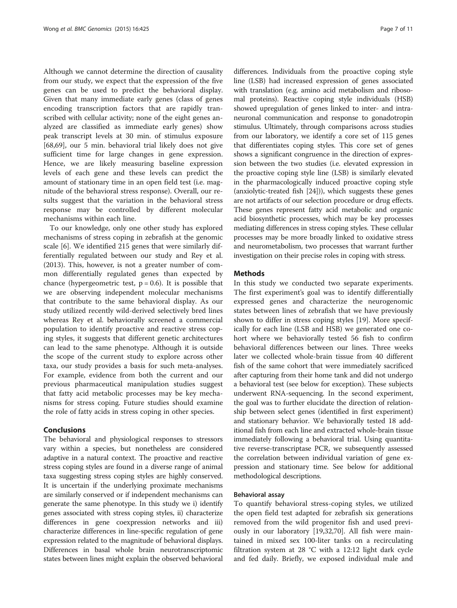Although we cannot determine the direction of causality from our study, we expect that the expression of the five genes can be used to predict the behavioral display. Given that many immediate early genes (class of genes encoding transcription factors that are rapidly transcribed with cellular activity; none of the eight genes analyzed are classified as immediate early genes) show peak transcript levels at 30 min. of stimulus exposure [[68,69\]](#page-10-0), our 5 min. behavioral trial likely does not give sufficient time for large changes in gene expression. Hence, we are likely measuring baseline expression levels of each gene and these levels can predict the amount of stationary time in an open field test (i.e. magnitude of the behavioral stress response). Overall, our results suggest that the variation in the behavioral stress response may be controlled by different molecular mechanisms within each line.

To our knowledge, only one other study has explored mechanisms of stress coping in zebrafish at the genomic scale [\[6](#page-9-0)]. We identified 215 genes that were similarly differentially regulated between our study and Rey et al. (2013). This, however, is not a greater number of common differentially regulated genes than expected by chance (hypergeometric test,  $p = 0.6$ ). It is possible that we are observing independent molecular mechanisms that contribute to the same behavioral display. As our study utilized recently wild-derived selectively bred lines whereas Rey et al. behaviorally screened a commercial population to identify proactive and reactive stress coping styles, it suggests that different genetic architectures can lead to the same phenotype. Although it is outside the scope of the current study to explore across other taxa, our study provides a basis for such meta-analyses. For example, evidence from both the current and our previous pharmaceutical manipulation studies suggest that fatty acid metabolic processes may be key mechanisms for stress coping. Future studies should examine the role of fatty acids in stress coping in other species.

# Conclusions

The behavioral and physiological responses to stressors vary within a species, but nonetheless are considered adaptive in a natural context. The proactive and reactive stress coping styles are found in a diverse range of animal taxa suggesting stress coping styles are highly conserved. It is uncertain if the underlying proximate mechanisms are similarly conserved or if independent mechanisms can generate the same phenotype. In this study we i) identify genes associated with stress coping styles, ii) characterize differences in gene coexpression networks and iii) characterize differences in line-specific regulation of gene expression related to the magnitude of behavioral displays. Differences in basal whole brain neurotranscriptomic states between lines might explain the observed behavioral

differences. Individuals from the proactive coping style line (LSB) had increased expression of genes associated with translation (e.g. amino acid metabolism and ribosomal proteins). Reactive coping style individuals (HSB) showed upregulation of genes linked to inter- and intraneuronal communication and response to gonadotropin stimulus. Ultimately, through comparisons across studies from our laboratory, we identify a core set of 115 genes that differentiates coping styles. This core set of genes shows a significant congruence in the direction of expression between the two studies (i.e. elevated expression in the proactive coping style line (LSB) is similarly elevated in the pharmacologically induced proactive coping style (anxiolytic-treated fish [\[24\]](#page-9-0))), which suggests these genes are not artifacts of our selection procedure or drug effects. These genes represent fatty acid metabolic and organic acid biosynthetic processes, which may be key processes mediating differences in stress coping styles. These cellular processes may be more broadly linked to oxidative stress and neurometabolism, two processes that warrant further investigation on their precise roles in coping with stress.

#### Methods

In this study we conducted two separate experiments. The first experiment's goal was to identify differentially expressed genes and characterize the neurogenomic states between lines of zebrafish that we have previously shown to differ in stress coping styles [[19](#page-9-0)]. More specifically for each line (LSB and HSB) we generated one cohort where we behaviorally tested 56 fish to confirm behavioral differences between our lines. Three weeks later we collected whole-brain tissue from 40 different fish of the same cohort that were immediately sacrificed after capturing from their home tank and did not undergo a behavioral test (see below for exception). These subjects underwent RNA-sequencing. In the second experiment, the goal was to further elucidate the direction of relationship between select genes (identified in first experiment) and stationary behavior. We behaviorally tested 18 additional fish from each line and extracted whole-brain tissue immediately following a behavioral trial. Using quantitative reverse-transcriptase PCR, we subsequently assessed the correlation between individual variation of gene expression and stationary time. See below for additional methodological descriptions.

#### Behavioral assay

To quantify behavioral stress-coping styles, we utilized the open field test adapted for zebrafish six generations removed from the wild progenitor fish and used previously in our laboratory [\[19,32,](#page-9-0)[70\]](#page-10-0). All fish were maintained in mixed sex 100-liter tanks on a recirculating filtration system at 28 °C with a 12:12 light dark cycle and fed daily. Briefly, we exposed individual male and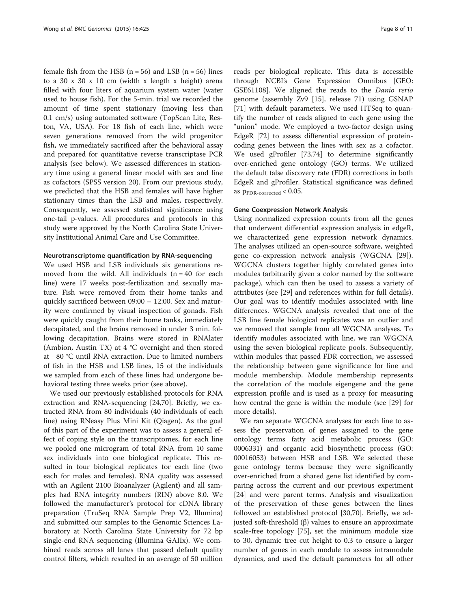female fish from the HSB  $(n = 56)$  and LSB  $(n = 56)$  lines to a 30 x 30 x 10 cm (width x length x height) arena filled with four liters of aquarium system water (water used to house fish). For the 5-min. trial we recorded the amount of time spent stationary (moving less than 0.1 cm/s) using automated software (TopScan Lite, Reston, VA, USA). For 18 fish of each line, which were seven generations removed from the wild progenitor fish, we immediately sacrificed after the behavioral assay and prepared for quantitative reverse transcriptase PCR analysis (see below). We assessed differences in stationary time using a general linear model with sex and line as cofactors (SPSS version 20). From our previous study, we predicted that the HSB and females will have higher stationary times than the LSB and males, respectively. Consequently, we assessed statistical significance using one-tail p-values. All procedures and protocols in this study were approved by the North Carolina State University Institutional Animal Care and Use Committee.

#### Neurotranscriptome quantification by RNA-sequencing

We used HSB and LSB individuals six generations removed from the wild. All individuals  $(n = 40)$  for each line) were 17 weeks post-fertilization and sexually mature. Fish were removed from their home tanks and quickly sacrificed between 09:00 – 12:00. Sex and maturity were confirmed by visual inspection of gonads. Fish were quickly caught from their home tanks, immediately decapitated, and the brains removed in under 3 min. following decapitation. Brains were stored in RNAlater (Ambion, Austin TX) at 4 °C overnight and then stored at −80 °C until RNA extraction. Due to limited numbers of fish in the HSB and LSB lines, 15 of the individuals we sampled from each of these lines had undergone behavioral testing three weeks prior (see above).

We used our previously established protocols for RNA extraction and RNA-sequencing [\[24](#page-9-0)[,70](#page-10-0)]. Briefly, we extracted RNA from 80 individuals (40 individuals of each line) using RNeasy Plus Mini Kit (Qiagen). As the goal of this part of the experiment was to assess a general effect of coping style on the transcriptomes, for each line we pooled one microgram of total RNA from 10 same sex individuals into one biological replicate. This resulted in four biological replicates for each line (two each for males and females). RNA quality was assessed with an Agilent 2100 Bioanalyzer (Agilent) and all samples had RNA integrity numbers (RIN) above 8.0. We followed the manufacturer's protocol for cDNA library preparation (TruSeq RNA Sample Prep V2, Illumina) and submitted our samples to the Genomic Sciences Laboratory at North Carolina State University for 72 bp single-end RNA sequencing (Illumina GAIIx). We combined reads across all lanes that passed default quality control filters, which resulted in an average of 50 million reads per biological replicate. This data is accessible through NCBI's Gene Expression Omnibus [GEO: GSE61108]. We aligned the reads to the Danio rerio genome (assembly Zv9 [[15](#page-9-0)], release 71) using GSNAP [[71\]](#page-10-0) with default parameters. We used HTSeq to quantify the number of reads aligned to each gene using the "union" mode. We employed a two-factor design using EdgeR [\[72](#page-10-0)] to assess differential expression of proteincoding genes between the lines with sex as a cofactor. We used gProfiler [[73](#page-10-0),[74](#page-10-0)] to determine significantly over-enriched gene ontology (GO) terms. We utilized the default false discovery rate (FDR) corrections in both EdgeR and gProfiler. Statistical significance was defined as pFDR-corrected < 0.05.

#### Gene Coexpression Network Analysis

Using normalized expression counts from all the genes that underwent differential expression analysis in edgeR, we characterized gene expression network dynamics. The analyses utilized an open-source software, weighted gene co-expression network analysis (WGCNA [\[29](#page-9-0)]). WGCNA clusters together highly correlated genes into modules (arbitrarily given a color named by the software package), which can then be used to assess a variety of attributes (see [[29](#page-9-0)] and references within for full details). Our goal was to identify modules associated with line differences. WGCNA analysis revealed that one of the LSB line female biological replicates was an outlier and we removed that sample from all WGCNA analyses. To identify modules associated with line, we ran WGCNA using the seven biological replicate pools. Subsequently, within modules that passed FDR correction, we assessed the relationship between gene significance for line and module membership. Module membership represents the correlation of the module eigengene and the gene expression profile and is used as a proxy for measuring how central the gene is within the module (see [\[29](#page-9-0)] for more details).

We ran separate WGCNA analyses for each line to assess the preservation of genes assigned to the gene ontology terms fatty acid metabolic process (GO: 0006331) and organic acid biosynthetic process (GO: 00016053) between HSB and LSB. We selected these gene ontology terms because they were significantly over-enriched from a shared gene list identified by comparing across the current and our previous experiment [[24\]](#page-9-0) and were parent terms. Analysis and visualization of the preservation of these genes between the lines followed an established protocol [[30,](#page-9-0)[70\]](#page-10-0). Briefly, we adjusted soft-threshold (β) values to ensure an approximate scale-free topology [[75](#page-10-0)], set the minimum module size to 30, dynamic tree cut height to 0.3 to ensure a larger number of genes in each module to assess intramodule dynamics, and used the default parameters for all other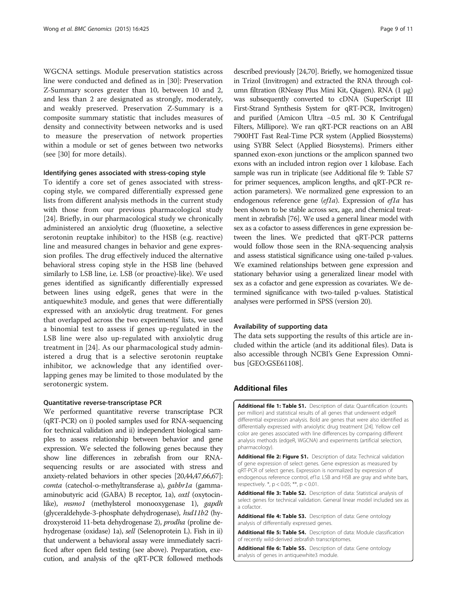<span id="page-8-0"></span>WGCNA settings. Module preservation statistics across line were conducted and defined as in [\[30\]](#page-9-0): Preservation Z-Summary scores greater than 10, between 10 and 2, and less than 2 are designated as strongly, moderately, and weakly preserved. Preservation Z-Summary is a composite summary statistic that includes measures of density and connectivity between networks and is used to measure the preservation of network properties within a module or set of genes between two networks (see [[30](#page-9-0)] for more details).

#### Identifying genes associated with stress-coping style

To identify a core set of genes associated with stresscoping style, we compared differentially expressed gene lists from different analysis methods in the current study with those from our previous pharmacological study [[24\]](#page-9-0). Briefly, in our pharmacological study we chronically administered an anxiolytic drug (fluoxetine, a selective serotonin reuptake inhibitor) to the HSB (e.g. reactive) line and measured changes in behavior and gene expression profiles. The drug effectively induced the alternative behavioral stress coping style in the HSB line (behaved similarly to LSB line, i.e. LSB (or proactive)-like). We used genes identified as significantly differentially expressed between lines using edgeR, genes that were in the antiquewhite3 module, and genes that were differentially expressed with an anxiolytic drug treatment. For genes that overlapped across the two experiments' lists, we used a binomial test to assess if genes up-regulated in the LSB line were also up-regulated with anxiolytic drug treatment in [[24\]](#page-9-0). As our pharmacological study administered a drug that is a selective serotonin reuptake inhibitor, we acknowledge that any identified overlapping genes may be limited to those modulated by the serotonergic system.

#### Quantitative reverse-transcriptase PCR

We performed quantitative reverse transcriptase PCR (qRT-PCR) on i) pooled samples used for RNA-sequencing for technical validation and ii) independent biological samples to assess relationship between behavior and gene expression. We selected the following genes because they show line differences in zebrafish from our RNAsequencing results or are associated with stress and anxiety-related behaviors in other species [\[20,](#page-9-0)[44,47,66,67](#page-10-0)]: comta (catechol-o-methyltransferase a), gabbr1a (gammaaminobutyric acid (GABA) B receptor, 1a), oxtl (oxytocinlike), *msmol* (methylsterol monooxygenase 1), *gapdh* (glyceraldehyde-3-phosphate dehydrogenase), hsd11b2 (hydroxysteroid 11-beta dehydrogenase 2), prodha (proline dehydrogenase (oxidase) 1a), sell (Selenoprotein L). Fish in ii) that underwent a behavioral assay were immediately sacrificed after open field testing (see above). Preparation, execution, and analysis of the qRT-PCR followed methods described previously [[24](#page-9-0)[,70\]](#page-10-0). Briefly, we homogenized tissue in Trizol (Invitrogen) and extracted the RNA through column filtration (RNeasy Plus Mini Kit, Qiagen). RNA (1 μg) was subsequently converted to cDNA (SuperScript III First-Strand Synthesis System for qRT-PCR, Invitrogen) and purified (Amicon Ultra −0.5 mL 30 K Centrifugal Filters, Millipore). We ran qRT-PCR reactions on an ABI 7900HT Fast Real-Time PCR system (Applied Biosystems) using SYBR Select (Applied Biosystems). Primers either spanned exon-exon junctions or the amplicon spanned two exons with an included intron region over 1 kilobase. Each sample was run in triplicate (see Additional file [9:](#page-9-0) Table S7 for primer sequences, amplicon lengths, and qRT-PCR reaction parameters). We normalized gene expression to an endogenous reference gene  $(ef1a)$ . Expression of  $efa$  has been shown to be stable across sex, age, and chemical treatment in zebrafish [\[76\]](#page-10-0). We used a general linear model with sex as a cofactor to assess differences in gene expression between the lines. We predicted that qRT-PCR patterns would follow those seen in the RNA-sequencing analysis and assess statistical significance using one-tailed p-values. We examined relationships between gene expression and stationary behavior using a generalized linear model with sex as a cofactor and gene expression as covariates. We determined significance with two-tailed p-values. Statistical analyses were performed in SPSS (version 20).

#### Availability of supporting data

The data sets supporting the results of this article are included within the article (and its additional files). Data is also accessible through NCBI's Gene Expression Omnibus [GEO:GSE61108].

#### Additional files

[Additional file 1: Table S1.](http://www.biomedcentral.com/content/supplementary/s12864-015-1626-x-s1.xlsx) Description of data: Quantification (counts per million) and statistical results of all genes that underwent edgeR differential expression analysis. Bold are genes that were also identified as differentially expressed with anxiolytic drug treatment [24]. Yellow cell color are genes associated with line differences by comparing different analysis methods (edgeR, WGCNA) and experiments (artificial selection, pharmacology).

[Additional file 2: Figure S1.](http://www.biomedcentral.com/content/supplementary/s12864-015-1626-x-s2.pdf) Description of data: Technical validation of gene expression of select genes. Gene expression as measured by qRT-PCR of select genes. Expression is normalized by expression of endogenous reference control, ef1a. LSB and HSB are gray and white bars, respectively. \*, p < 0.05; \*\*, p < 0.01.

[Additional file 3: Table S2.](http://www.biomedcentral.com/content/supplementary/s12864-015-1626-x-s3.pdf) Description of data: Statistical analysis of select genes for technical validation. General linear model included sex as a cofactor.

[Additional file 4: Table S3.](http://www.biomedcentral.com/content/supplementary/s12864-015-1626-x-s4.docx) Description of data: Gene ontology analysis of differentially expressed genes.

[Additional file 5: Table S4.](http://www.biomedcentral.com/content/supplementary/s12864-015-1626-x-s5.xlsx) Description of data: Module classification of recently wild-derived zebrafish transcriptomes.

[Additional file 6: Table S5.](http://www.biomedcentral.com/content/supplementary/s12864-015-1626-x-s6.pdf) Description of data: Gene ontology analysis of genes in antiquewhite3 module.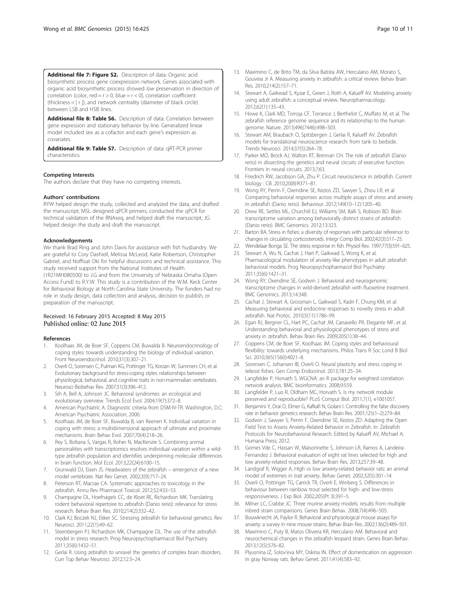<span id="page-9-0"></span>[Additional file 7: Figure S2.](http://www.biomedcentral.com/content/supplementary/s12864-015-1626-x-s7.pdf) Description of data: Organic acid biosynthetic process gene coexpression network. Genes associated with organic acid biosynthetic process showed low preservation in direction of correlation (color,  $red = r > 0$ , blue =  $r < 0$ ), correlation coefficient (thickness = | r |), and network centrality (diameter of black circle) between LSB and HSB lines.

[Additional file 8: Table S6.](http://www.biomedcentral.com/content/supplementary/s12864-015-1626-x-s8.pdf) Description of data: Correlation between gene expression and stationary behavior by line. Generalized linear model included sex as a cofactor and each gene's expression as covariates.

[Additional file 9: Table S7.](http://www.biomedcentral.com/content/supplementary/s12864-015-1626-x-s9.pdf) Description of data: qRT-PCR primer characteristics.

#### Competing Interests

The authors declare that they have no competing interests.

#### Authors' contributions

RYW helped design the study, collected and analyzed the data, and drafted the manuscript; MSL designed qPCR primers, conducted the qPCR for technical validation of the RNAseq, and helped draft the manuscript; JG helped design the study and draft the manuscript.

#### Acknowledgements

We thank Brad Ring and John Davis for assistance with fish husbandry. We are grateful to Cory Dashiell, Melissa McLeod, Katie Robertson, Christopher Gabriel, and Noffisat Oki for helpful discussions and technical assistance. This study received support from the National Institutes of Health (1R21MH080500) to J.G and from the University of Nebraska Omaha (Open Access Fund) to R.Y.W. This study is a contribution of the W.M. Keck Center for Behavioral Biology at North Carolina State University. The funders had no role in study design, data collection and analysis, decision to publish, or preparation of the manuscript.

#### Received: 16 February 2015 Accepted: 8 May 2015 Published online: 02 June 2015

#### References

- 1. Koolhaas JM, de Boer SF, Coppens CM, Buwalda B. Neuroendocrinology of coping styles: towards understanding the biology of individual variation. Front Neuroendocrinol. 2010;31(3):307–21.
- 2. Overli O, Sorensen C, Pulman KG, Pottinger TG, Korzan W, Summers CH, et al. Evolutionary background for stress-coping styles: relationships between physiological, behavioral, and cognitive traits in non-mammalian vertebrates. Neurosci Biobehav Rev. 2007;31(3):396–412.
- 3. Sih A, Bell A, Johnson JC. Behavioral syndromes: an ecological and evolutionary overview. Trends Ecol Evol. 2004;19(7):372–8.
- 4. American Psychiatric A. Diagnostic criteria from DSM-IV-TR. Washington, D.C: American Psychiatric Association; 2000.
- 5. Koolhaas JM, de Boer SF, Buwalda B, van Reenen K. Individual variation in coping with stress: a multidimensional approach of ultimate and proximate mechanisms. Brain Behav Evol. 2007;70(4):218–26.
- Rey S, Boltana S, Vargas R, Roher N, MacKenzie S. Combining animal personalities with transcriptomics resolves individual variation within a wildtype zebrafish population and identifies underpinning molecular differences in brain function. Mol Ecol. 2013;22(24):6100–15.
- 7. Grunwald DJ, Eisen JS. Headwaters of the zebrafish emergence of a new model vertebrate. Nat Rev Genet. 2002;3(9):717–24.
- 8. Peterson RT, Macrae CA. Systematic approaches to toxicology in the zebrafish. Annu Rev Pharmacol Toxicol. 2012;52:433–53.
- 9. Champagne DL, Hoefnagels CC, de Kloet RE, Richardson MK. Translating rodent behavioral repertoire to zebrafish (Danio rerio): relevance for stress research. Behav Brain Res. 2010;214(2):332–42.
- 10. Clark KJ, Boczek NJ, Ekker SC. Stressing zebrafish for behavioral genetics. Rev Neurosci. 2011;22(1):49–62.
- 11. Steenbergen PJ, Richardson MK, Champagne DL. The use of the zebrafish model in stress research. Prog Neuropsychopharmacol Biol Psychiatry. 2011;35(6):1432–51.
- 12. Gerlai R. Using zebrafish to unravel the genetics of complex brain disorders. Curr Top Behav Neurosci. 2012;12:3–24.
- 13. Maximino C, de Brito TM, da Silva Batista AW, Herculano AM, Morato S, Gouveia Jr A. Measuring anxiety in zebrafish: a critical review. Behav Brain Res. 2010;214(2):157–71.
- 14. Stewart A, Gaikwad S, Kyzar E, Green J, Roth A, Kalueff AV. Modeling anxiety using adult zebrafish: a conceptual review. Neuropharmacology. 2012;62(1):135–43.
- 15. Howe K, Clark MD, Torroja CF, Torrance J, Berthelot C, Muffato M, et al. The zebrafish reference genome sequence and its relationship to the human genome. Nature. 2013;496(7446):498–503.
- 16. Stewart AM, Braubach O, Spitsbergen J, Gerlai R, Kalueff AV. Zebrafish models for translational neuroscience research: from tank to bedside. Trends Neurosci. 2014;37(5):264–78.
- 17. Parker MO, Brock AJ, Walton RT, Brennan CH. The role of zebrafish (Danio rerio) in dissecting the genetics and neural circuits of executive function. Frontiers in neural circuits. 2013;7:63.
- 18. Friedrich RW, Jacobson GA, Zhu P. Circuit neuroscience in zebrafish. Current biology : CB. 2010;20(8):R371–81.
- 19. Wong RY, Perrin F, Oxendine SE, Kezios ZD, Sawyer S, Zhou LR, et al. Comparing behavioral responses across multiple assays of stress and anxiety in zebrafish (Danio rerio). Behaviour. 2012;149(10–12):1205–40.
- 20. Drew RE, Settles ML, Churchill EJ, Williams SM, Balli S, Robison BD. Brain transcriptome variation among behaviorally distinct strains of zebrafish (Danio rerio). BMC Genomics. 2012;13:323.
- 21. Barton BA. Stress in fishes: a diversity of responses with particular reference to changes in circulating corticosteroids. Integr Comp Biol. 2002;42(3):517–25.
- 22. Wendelaar Bonga SE. The stress response in fish. Physiol Rev. 1997;77(3):591–625.
- 23. Stewart A, Wu N, Cachat J, Hart P, Gaikwad S, Wong K, et al. Pharmacological modulation of anxiety-like phenotypes in adult zebrafish behavioral models. Prog Neuropsychopharmacol Biol Psychiatry. 2011;35(6):1421–31.
- 24. Wong RY, Oxendine SE, Godwin J. Behavioral and neurogenomic transcriptome changes in wild-derived zebrafish with fluoxetine treatment. BMC Genomics. 2013;14:348.
- 25. Cachat J, Stewart A, Grossman L, Gaikwad S, Kadri F, Chung KM, et al. Measuring behavioral and endocrine responses to novelty stress in adult zebrafish. Nat Protoc. 2010;5(11):1786–99.
- 26. Egan RJ, Bergner CL, Hart PC, Cachat JM, Canavello PR, Elegante MF, et al. Understanding behavioral and physiological phenotypes of stress and anxiety in zebrafish. Behav Brain Res. 2009;205(1):38–44.
- 27. Coppens CM, de Boer SF, Koolhaas JM. Coping styles and behavioural flexibility: towards underlying mechanisms. Philos Trans R Soc Lond B Biol Sci. 2010;365(1560):4021–8.
- 28. Sorensen C, Johansen IB, Overli O. Neural plasticity and stress coping in teleost fishes. Gen Comp Endocrinol. 2013;181:25–34.
- 29. Langfelder P, Horvath S. WGCNA: an R package for weighted correlation network analysis. BMC bioinformatics. 2008;9:559.
- 30. Langfelder P, Luo R, Oldham MC, Horvath S. Is my network module preserved and reproducible? PLoS Comput Biol. 2011;7(1), e1001057.
- 31. Benjamini Y, Drai D, Elmer G, Kafkafi N, Golani I. Controlling the false discovery rate in behavior genetics research. Behav Brain Res. 2001;125(1–2):279–84.
- 32. Godwin J, Sawyer S, Perrin F, Oxendine SE, Kezios ZD: Adapting the Open Field Test to Assess Anxiety-Related Behavior in Zebrafish. In: Zebrafish Protocols for Neurobehavioral Research. Edited by Kalueff AV, Michael A: Humana Press; 2012.
- 33. Gomes Vde C, Hassan W, Maisonnette S, Johnson LR, Ramos A, Landeira-Fernandez J. Behavioral evaluation of eight rat lines selected for high and low anxiety-related responses. Behav Brain Res. 2013;257:39–48.
- 34. Landgraf R, Wigger A. High vs low anxiety-related behavior rats: an animal model of extremes in trait anxiety. Behav Genet. 2002;32(5):301–14.
- 35. Overli O, Pottinger TG, Carrick TR, Overli E, Winberg S. Differences in behaviour between rainbow trout selected for high- and low-stress responsiveness. J Exp Biol. 2002;205(Pt 3):391–5.
- 36. Milner LC, Crabbe JC. Three murine anxiety models: results from multiple inbred strain comparisons. Genes Brain Behav. 2008;7(4):496–505.
- 37. Bouwknecht JA, Paylor R. Behavioral and physiological mouse assays for anxiety: a survey in nine mouse strains. Behav Brain Res. 2002;136(2):489–501.
- 38. Maximino C, Puty B, Matos Oliveira KR, Herculano AM. Behavioral and neurochemical changes in the zebrafish leopard strain. Genes Brain Behav. 2013;12(5):576–82.
- 39. Plyusnina IZ, Solov'eva MY, Oskina IN. Effect of domestication on aggression in gray Norway rats. Behav Genet. 2011;41(4):583–92.